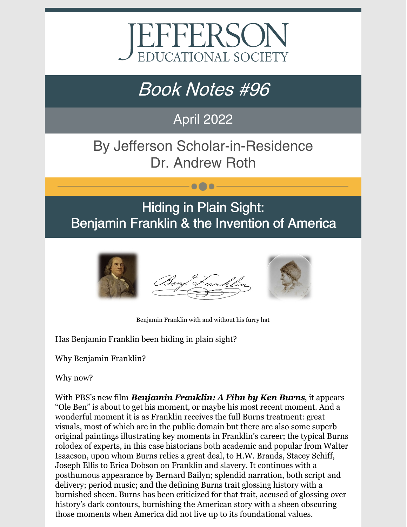

# Book Notes #96

### April 2022

## By Jefferson Scholar-in-Residence Dr. Andrew Roth

# Hiding in Plain Sight: Benjamin Franklin & the Invention of America

 $\bullet\bullet\bullet$ 



Benjamin Franklin with and without his furry hat

Has Benjamin Franklin been hiding in plain sight?

Why Benjamin Franklin?

Why now?

With PBS's new film *Benjamin Franklin: A Film by Ken Burns*, it appears "Ole Ben" is about to get his moment, or maybe his most recent moment. And a wonderful moment it is as Franklin receives the full Burns treatment: great visuals, most of which are in the public domain but there are also some superb original paintings illustrating key moments in Franklin's career; the typical Burns rolodex of experts, in this case historians both academic and popular from Walter Isaacson, upon whom Burns relies a great deal, to H.W. Brands, Stacey Schiff, Joseph Ellis to Erica Dobson on Franklin and slavery. It continues with a posthumous appearance by Bernard Bailyn; splendid narration, both script and delivery; period music; and the defining Burns trait glossing history with a burnished sheen. Burns has been criticized for that trait, accused of glossing over history's dark contours, burnishing the American story with a sheen obscuring those moments when America did not live up to its foundational values.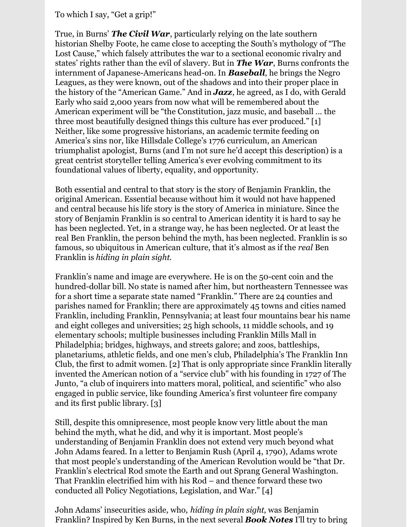#### To which I say, "Get a grip!"

True, in Burns' *The Civil War*, particularly relying on the late southern historian Shelby Foote, he came close to accepting the South's mythology of "The Lost Cause," which falsely attributes the war to a sectional economic rivalry and states' rights rather than the evil of slavery. But in *The War*, Burns confronts the internment of Japanese-Americans head-on. In *Baseball*, he brings the Negro Leagues, as they were known, out of the shadows and into their proper place in the history of the "American Game." And in *Jazz*, he agreed, as I do, with Gerald Early who said 2,000 years from now what will be remembered about the American experiment will be "the Constitution, jazz music, and baseball … the three most beautifully designed things this culture has ever produced." [1] Neither, like some progressive historians, an academic termite feeding on America's sins nor, like Hillsdale College's 1776 curriculum, an American triumphalist apologist, Burns (and I'm not sure he'd accept this description) is a great centrist storyteller telling America's ever evolving commitment to its foundational values of liberty, equality, and opportunity.

Both essential and central to that story is the story of Benjamin Franklin, the original American. Essential because without him it would not have happened and central because his life story is the story of America in miniature. Since the story of Benjamin Franklin is so central to American identity it is hard to say he has been neglected. Yet, in a strange way, he has been neglected. Or at least the real Ben Franklin, the person behind the myth, has been neglected. Franklin is so famous, so ubiquitous in American culture, that it's almost as if the *real* Ben Franklin is *hiding in plain sight*.

Franklin's name and image are everywhere. He is on the 50-cent coin and the hundred-dollar bill. No state is named after him, but northeastern Tennessee was for a short time a separate state named "Franklin." There are 24 counties and parishes named for Franklin; there are approximately 45 towns and cities named Franklin, including Franklin, Pennsylvania; at least four mountains bear his name and eight colleges and universities; 25 high schools, 11 middle schools, and 19 elementary schools; multiple businesses including Franklin Mills Mall in Philadelphia; bridges, highways, and streets galore; and zoos, battleships, planetariums, athletic fields, and one men's club, Philadelphia's The Franklin Inn Club, the first to admit women. [2] That is only appropriate since Franklin literally invented the American notion of a "service club" with his founding in 1727 of The Junto, "a club of inquirers into matters moral, political, and scientific" who also engaged in public service, like founding America's first volunteer fire company and its first public library. [3]

Still, despite this omnipresence, most people know very little about the man behind the myth, what he did, and why it is important. Most people's understanding of Benjamin Franklin does not extend very much beyond what John Adams feared. In a letter to Benjamin Rush (April 4, 1790), Adams wrote that most people's understanding of the American Revolution would be "that Dr. Franklin's electrical Rod smote the Earth and out Sprang General Washington. That Franklin electrified him with his Rod – and thence forward these two conducted all Policy Negotiations, Legislation, and War." [4]

John Adams' insecurities aside, who, *hiding in plain sight*, was Benjamin Franklin? Inspired by Ken Burns, in the next several *Book Notes* I'll try to bring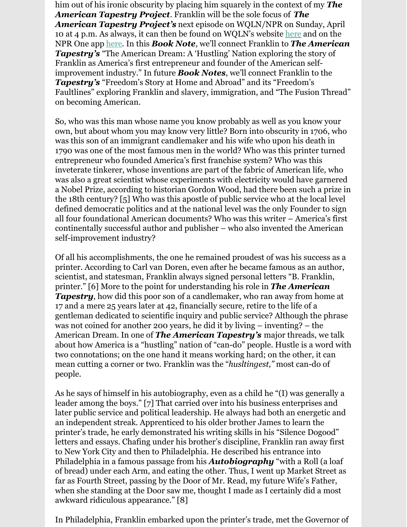him out of his ironic obscurity by placing him squarely in the context of my *The American Tapestry Project*. Franklin will be the sole focus of *The American Tapestry Project's* next episode on WQLN/NPR on Sunday, April 10 at 4 p.m. As always, it can then be found on WQLN's website [here](https://www.wqln.org/Listen/Podcasts/The-American-Tapestry-Project) and on the NPR One app [here](https://www.npr.org/podcasts/910673300/the-american-tapestry-project). In this *Book Note*, we'll connect Franklin to *The American Tapestry's* "The American Dream: A 'Hustling' Nation exploring the story of Franklin as America's first entrepreneur and founder of the American selfimprovement industry." In future *Book Notes*, we'll connect Franklin to the *Tapestry's* "Freedom's Story at Home and Abroad" and its "Freedom's Faultlines" exploring Franklin and slavery, immigration, and "The Fusion Thread" on becoming American.

So, who was this man whose name you know probably as well as you know your own, but about whom you may know very little? Born into obscurity in 1706, who was this son of an immigrant candlemaker and his wife who upon his death in 1790 was one of the most famous men in the world? Who was this printer turned entrepreneur who founded America's first franchise system? Who was this inveterate tinkerer, whose inventions are part of the fabric of American life, who was also a great scientist whose experiments with electricity would have garnered a Nobel Prize, according to historian Gordon Wood, had there been such a prize in the 18th century? [5] Who was this apostle of public service who at the local level defined democratic politics and at the national level was the only Founder to sign all four foundational American documents? Who was this writer – America's first continentally successful author and publisher – who also invented the American self-improvement industry?

Of all his accomplishments, the one he remained proudest of was his success as a printer. According to Carl van Doren, even after he became famous as an author, scientist, and statesman, Franklin always signed personal letters "B. Franklin, printer." [6] More to the point for understanding his role in *The American* **Tapestry**, how did this poor son of a candlemaker, who ran away from home at 17 and a mere 25 years later at 42, financially secure, retire to the life of a gentleman dedicated to scientific inquiry and public service? Although the phrase was not coined for another 200 years, he did it by living – inventing? – the American Dream. In one of *The American Tapestry's* major threads, we talk about how America is a "hustling" nation of "can-do" people. Hustle is a word with two connotations; on the one hand it means working hard; on the other, it can mean cutting a corner or two. Franklin was the "*husltingest,"* most can-do of people.

As he says of himself in his autobiography, even as a child he "(I) was generally a leader among the boys." [7] That carried over into his business enterprises and later public service and political leadership. He always had both an energetic and an independent streak. Apprenticed to his older brother James to learn the printer's trade, he early demonstrated his writing skills in his "Silence Dogood" letters and essays. Chafing under his brother's discipline, Franklin ran away first to New York City and then to Philadelphia. He described his entrance into Philadelphia in a famous passage from his *Autobiography* "with a Roll (a loaf of bread) under each Arm, and eating the other. Thus, I went up Market Street as far as Fourth Street, passing by the Door of Mr. Read, my future Wife's Father, when she standing at the Door saw me, thought I made as I certainly did a most awkward ridiculous appearance." [8]

In Philadelphia, Franklin embarked upon the printer's trade, met the Governor of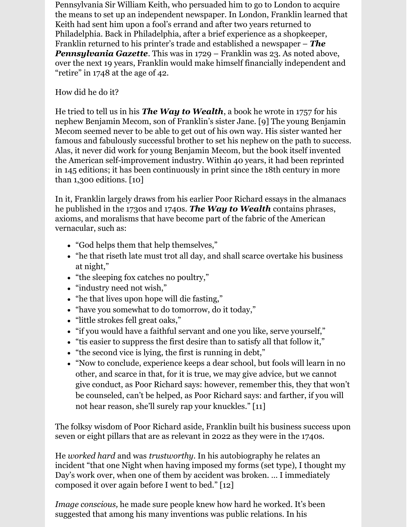Pennsylvania Sir William Keith, who persuaded him to go to London to acquire the means to set up an independent newspaper. In London, Franklin learned that Keith had sent him upon a fool's errand and after two years returned to Philadelphia. Back in Philadelphia, after a brief experience as a shopkeeper, Franklin returned to his printer's trade and established a newspaper – *The Pennsylvania Gazette*. This was in 1729 – Franklin was 23. As noted above, over the next 19 years, Franklin would make himself financially independent and "retire" in 1748 at the age of 42.

#### How did he do it?

He tried to tell us in his *The Way to Wealth*, a book he wrote in 1757 for his nephew Benjamin Mecom, son of Franklin's sister Jane. [9] The young Benjamin Mecom seemed never to be able to get out of his own way. His sister wanted her famous and fabulously successful brother to set his nephew on the path to success. Alas, it never did work for young Benjamin Mecom, but the book itself invented the American self-improvement industry. Within 40 years, it had been reprinted in 145 editions; it has been continuously in print since the 18th century in more than 1,300 editions.  $[10]$ 

In it, Franklin largely draws from his earlier Poor Richard essays in the almanacs he published in the 1730s and 1740s. *The Way to Wealth* contains phrases, axioms, and moralisms that have become part of the fabric of the American vernacular, such as:

- "God helps them that help themselves,"
- "he that riseth late must trot all day, and shall scarce overtake his business at night,"
- "the sleeping fox catches no poultry,"
- "industry need not wish,"
- "he that lives upon hope will die fasting,"
- "have you somewhat to do tomorrow, do it today,"
- "little strokes fell great oaks,"
- "if you would have a faithful servant and one you like, serve yourself,"
- "tis easier to suppress the first desire than to satisfy all that follow it,"
- "the second vice is lying, the first is running in debt,"
- "Now to conclude, experience keeps a dear school, but fools will learn in no other, and scarce in that, for it is true, we may give advice, but we cannot give conduct, as Poor Richard says: however, remember this, they that won't be counseled, can't be helped, as Poor Richard says: and farther, if you will not hear reason, she'll surely rap your knuckles." [11]

The folksy wisdom of Poor Richard aside, Franklin built his business success upon seven or eight pillars that are as relevant in 2022 as they were in the 1740s.

He *worked hard* and was *trustworthy*. In his autobiography he relates an incident "that one Night when having imposed my forms (set type), I thought my Day's work over, when one of them by accident was broken. … I immediately composed it over again before I went to bed." [12]

*Image conscious,* he made sure people knew how hard he worked. It's been suggested that among his many inventions was public relations. In his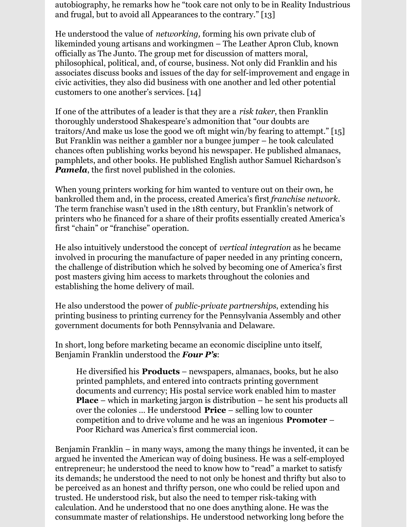autobiography, he remarks how he "took care not only to be in Reality Industrious and frugal, but to avoid all Appearances to the contrary." [13]

He understood the value of *networking,* forming his own private club of likeminded young artisans and workingmen – The Leather Apron Club, known officially as The Junto. The group met for discussion of matters moral, philosophical, political, and, of course, business. Not only did Franklin and his associates discuss books and issues of the day for self-improvement and engage in civic activities, they also did business with one another and led other potential customers to one another's services. [14]

If one of the attributes of a leader is that they are a *risk taker*, then Franklin thoroughly understood Shakespeare's admonition that "our doubts are traitors/And make us lose the good we oft might win/by fearing to attempt." [15] But Franklin was neither a gambler nor a bungee jumper – he took calculated chances often publishing works beyond his newspaper. He published almanacs, pamphlets, and other books. He published English author Samuel Richardson's *Pamela*, the first novel published in the colonies.

When young printers working for him wanted to venture out on their own, he bankrolled them and, in the process, created America's first *franchise network*. The term franchise wasn't used in the 18th century, but Franklin's network of printers who he financed for a share of their profits essentially created America's first "chain" or "franchise" operation.

He also intuitively understood the concept of *vertical integration* as he became involved in procuring the manufacture of paper needed in any printing concern, the challenge of distribution which he solved by becoming one of America's first post masters giving him access to markets throughout the colonies and establishing the home delivery of mail.

He also understood the power of *public-private partnerships*, extending his printing business to printing currency for the Pennsylvania Assembly and other government documents for both Pennsylvania and Delaware.

In short, long before marketing became an economic discipline unto itself, Benjamin Franklin understood the *Four P's*:

He diversified his **Products** – newspapers, almanacs, books, but he also printed pamphlets, and entered into contracts printing government documents and currency; His postal service work enabled him to master **Place** – which in marketing jargon is distribution – he sent his products all llelleller over the colonies ... He understood **Price** – selling low to counter competition and to drive volume and he was an ingenious **Promoter** – Poor Richard was America's first commercial icon.

Benjamin Franklin – in many ways, among the many things he invented, it can be argued he invented the American way of doing business. He was a self-employed entrepreneur; he understood the need to know how to "read" a market to satisfy its demands; he understood the need to not only be honest and thrifty but also to be perceived as an honest and thrifty person, one who could be relied upon and trusted. He understood risk, but also the need to temper risk-taking with calculation. And he understood that no one does anything alone. He was the consummate master of relationships. He understood networking long before the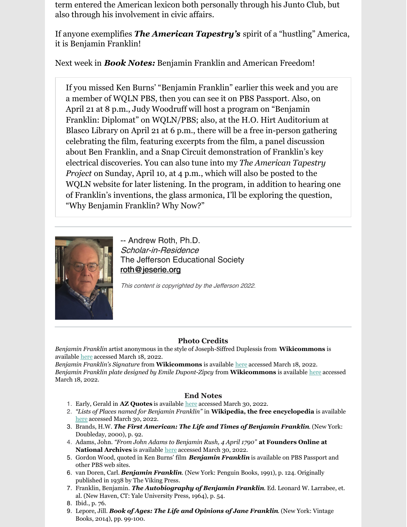term entered the American lexicon both personally through his Junto Club, but also through his involvement in civic affairs.

If anyone exemplifies *The American Tapestry's* spirit of a "hustling" America, it is Benjamin Franklin!

Next week in *Book Notes:* Benjamin Franklin and American Freedom!

If you missed Ken Burns' "Benjamin Franklin" earlier this week and you are a member of WQLN PBS, then you can see it on PBS Passport. Also, on April 21 at 8 p.m., Judy Woodruff will host a program on "Benjamin Franklin: Diplomat" on WQLN/PBS; also, at the H.O. Hirt Auditorium at Blasco Library on April 21 at 6 p.m., there will be a free in-person gathering celebrating the film, featuring excerpts from the film, a panel discussion about Ben Franklin, and a Snap Circuit demonstration of Franklin's key electrical discoveries. You can also tune into my *The American Tapestry Project* on Sunday, April 10, at 4 p.m., which will also be posted to the WQLN website for later listening. In the program, in addition to hearing one of Franklin's inventions, the glass armonica, I'll be exploring the question, "Why Benjamin Franklin? Why Now?"



-- Andrew Roth, Ph.D. Scholar-in-Residence The Jefferson Educational Society [roth@jeserie.org](mailto:roth@jeserie.org)

This content is copyrighted by the Jefferson 2022.

#### **Photo Credits**

*Benjamin Franklin* artist anonymous in the style of Joseph-Siffred Duplessis from **Wikicommons** is available [here](https://commons.wikimedia.org/wiki/File:Benjamin_Franklin_by_Joseph_Siffrein_Duplessis.jpg) accessed March 18, 2022.

*Benjamin Franklin's Signature* from **Wikicommons** is available [here](https://upload.wikimedia.org/wikipedia/commons/6/61/Benjamin_Franklin_signature.png) accessed March 18, 2022. *Benjamin Franklin plate designed by Emile Dupont-Zipcy* from **Wikicommons** is available [here](https://commons.wikimedia.org/wiki/File:Benjamin_Franklin_MET_DP248285.jpg) accessed March 18, 2022.

#### **End Notes**

- 1. Early, Gerald in **AZ Quotes** is available [here](https://www.inspiringquotes.us/author/1537-gerald-early#:~:text=Gerald Early Quotes and Sayings %2D Page 1&text=%E2%80%9CI think there are only,this culture has ever produced.%E2%80%9D) accessed March 30, 2022.
- 2. *"Lists of Places named for Benjamin Franklin"* in **Wikipedia, the free encyclopedia** is available [here](https://en.wikipedia.org/wiki/List_of_places_named_for_Benjamin_Franklin) accessed March 30, 2022.
- 3. Brands, H.W. *The First American: The Life and Times of Benjamin Franklin*. (New York: Doubleday, 2000), p. 92.
- 4. Adams, John. *"From John Adams to Benjamin Rush, 4 April 1790"* **at Founders Online at National Archives** is available [here](https://founders.archives.gov/documents/Adams/99-02-02-0903) accessed March 30, 2022.
- 5. Gordon Wood, quoted in Ken Burns' film *Benjamin Franklin* is available on PBS Passport and other PBS web sites.
- 6. van Doren, Carl. *Benjamin Franklin*. (New York: Penguin Books, 1991), p. 124. Originally published in 1938 by The Viking Press.
- 7. Franklin, Benjamin. *The Autobiography of Benjamin Franklin*. Ed. Leonard W. Larrabee, et. al. (New Haven, CT: Yale University Press, 1964), p. 54.

9. Lepore, Jill. *Book of Ages: The Life and Opinions of Jane Franklin*. (New York: Vintage Books, 2014), pp. 99-100.

<sup>8.</sup> Ibid., p. 76.